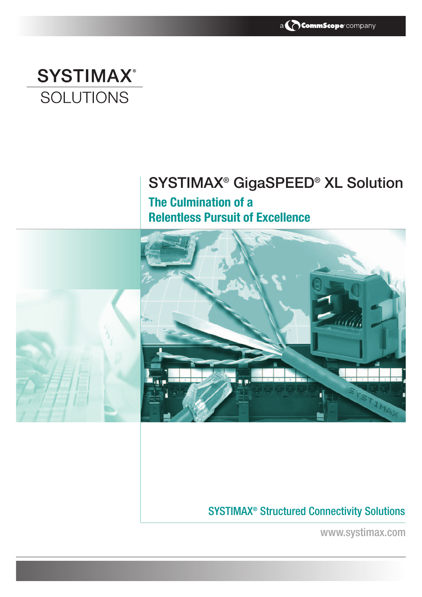

# **SYSTIMAX® SOLUTIONS**

# SYSTIMAX® GigaSPEED® XL Solution

**The Culmination of a Relentless Pursuit of Excellence**





## SYSTIMAX® Structured Connectivity Solutions

www.systimax.com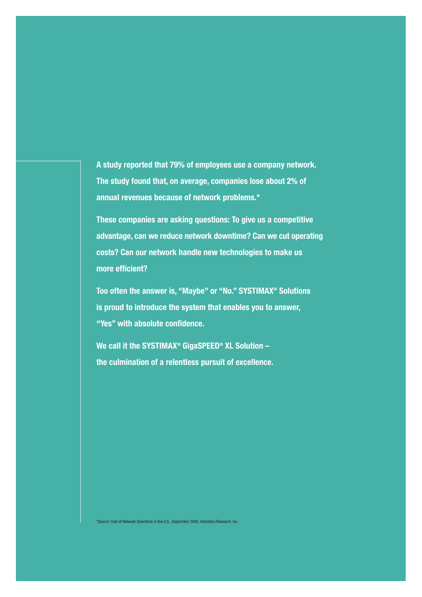**A study reported that 79% of employees use a company network. The study found that, on average, companies lose about 2% of annual revenues because of network problems.\***

**These companies are asking questions: To give us a competitive advantage, can we reduce network downtime? Can we cut operating costs? Can our network handle new technologies to make us more efficient?** 

**Too often the answer is, "Maybe" or "No." SYSTIMAX® Solutions is proud to introduce the system that enables you to answer, "Yes" with absolute confidence.**

**We call it the SYSTIMAX® GigaSPEED® XL Solution – the culmination of a relentless pursuit of excellence.**

\*Source: Cost of Network Downtime in the U.S., September 2000, Infonetics Research, Inc.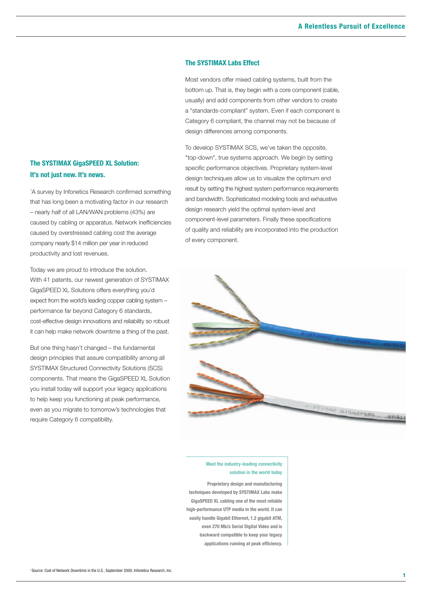#### **A Relentless Pursuit of Excellence**

#### **The SYSTIMAX Labs Effect**

Most vendors offer mixed cabling systems, built from the bottom up. That is, they begin with a core component (cable, usually) and add components from other vendors to create a "standards-compliant" system. Even if each component is Category 6 compliant, the channel may not be because of design differences among components.

**The SYSTIMAX GigaSPEED XL Solution: It's not just new. It's news.**

1 A survey by Infonetics Research confirmed something that has long been a motivating factor in our research – nearly half of all LAN/WAN problems (43%) are caused by cabling or apparatus. Network inefficiencies caused by overstressed cabling cost the average company nearly \$14 million per year in reduced productivity and lost revenues.

Today we are proud to introduce the solution. With 41 patents, our newest generation of SYSTIMAX GigaSPEED XL Solutions offers everything you'd expect from the world's leading copper cabling system – performance far beyond Category 6 standards, cost-effective design innovations and reliability so robust it can help make network downtime a thing of the past.

But one thing hasn't changed – the fundamental design principles that assure compatibility among all SYSTIMAX Structured Connectivity Solutions (SCS) components. That means the GigaSPEED XL Solution you install today will support your legacy applications to help keep you functioning at peak performance, even as you migrate to tomorrow's technologies that require Category 6 compatibility.

### To develop SYSTIMAX SCS, we've taken the opposite, "top-down", true systems approach. We begin by setting specific performance objectives. Proprietary system-level design techniques allow us to visualize the optimum end result by setting the highest system performance requirements and bandwidth. Sophisticated modeling tools and exhaustive design research yield the optimal system-level and component-level parameters. Finally these specifications of quality and reliability are incorporated into the production of every component.



#### **Meet the industry-leading connectivity solution in the world today**

**Proprietary design and manufacturing techniques developed by SYSTIMAX Labs make GigaSPEED XL cabling one of the most reliable high-performance UTP media in the world. It can easily handle Gigabit Ethernet, 1.2 gigabit ATM, even 270 Mb/s Serial Digital Video and is backward compatible to keep your legacy applications running at peak efficiency.**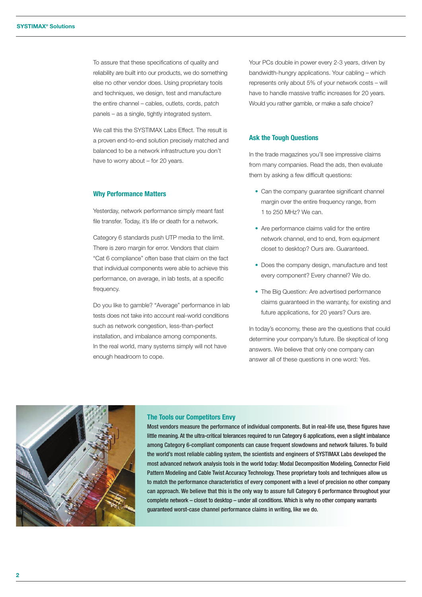To assure that these specifications of quality and reliability are built into our products, we do something else no other vendor does. Using proprietary tools and techniques, we design, test and manufacture the entire channel – cables, outlets, cords, patch panels – as a single, tightly integrated system.

We call this the SYSTIMAX Labs Effect. The result is a proven end-to-end solution precisely matched and balanced to be a network infrastructure you don't have to worry about – for 20 years.

#### **Why Performance Matters**

Yesterday, network performance simply meant fast file transfer. Today, it's life or death for a network.

Category 6 standards push UTP media to the limit. There is zero margin for error. Vendors that claim "Cat 6 compliance" often base that claim on the fact that individual components were able to achieve this performance, on average, in lab tests, at a specific frequency.

Do you like to gamble? "Average" performance in lab tests does not take into account real-world conditions such as network congestion, less-than-perfect installation, and imbalance among components. In the real world, many systems simply will not have enough headroom to cope.

Your PCs double in power every 2-3 years, driven by bandwidth-hungry applications. Your cabling – which represents only about 5% of your network costs – will have to handle massive traffic increases for 20 years. Would you rather gamble, or make a safe choice?

#### **Ask the Tough Questions**

In the trade magazines you'll see impressive claims from many companies. Read the ads, then evaluate them by asking a few difficult questions:

- Can the company guarantee significant channel margin over the entire frequency range, from 1 to 250 MHz? We can.
- Are performance claims valid for the entire network channel, end to end, from equipment closet to desktop? Ours are. Guaranteed.
- Does the company design, manufacture and test every component? Every channel? We do.
- The Big Question: Are advertised performance claims guaranteed in the warranty, for existing and future applications, for 20 years? Ours are.

In today's economy, these are the questions that could determine your company's future. Be skeptical of long answers. We believe that only one company can answer all of these questions in one word: Yes.



#### **The Tools our Competitors Envy**

Most vendors measure the performance of individual components. But in real-life use, these figures have little meaning. At the ultra-critical tolerances required to run Category 6 applications, even a slight imbalance among Category 6-compliant components can cause frequent slowdowns and network failures. To build the world's most reliable cabling system, the scientists and engineers of SYSTIMAX Labs developed the most advanced network analysis tools in the world today: Modal Decomposition Modeling, Connector Field Pattern Modeling and Cable Twist Accuracy Technology. These proprietary tools and techniques allow us to match the performance characteristics of every component with a level of precision no other company can approach. We believe that this is the only way to assure full Category 6 performance throughout your complete network – closet to desktop – under all conditions. Which is why no other company warrants guaranteed worst-case channel performance claims in writing, like we do.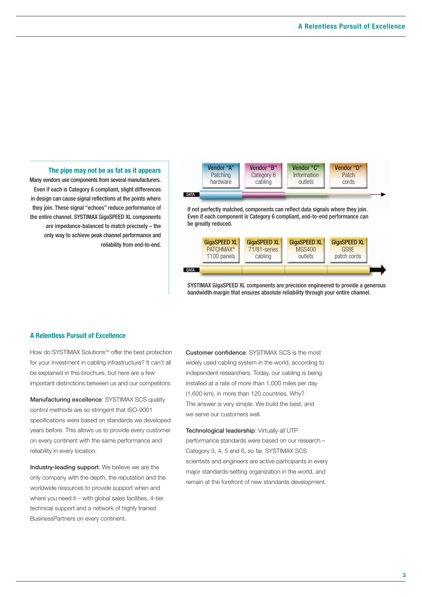#### **The pipe may not be as fat as it appears**

Many vendors use components from several manufacturers. Even if each is Category 6 compliant, slight differences in design can cause signal reflections at the points where they join. These signal "echoes" reduce performance of the entire channel. SYSTIMAX GigaSPEED XL components are impedance-balanced to match precisely – the only way to achieve peak channel performance and reliability from end-to-end.





SYSTIMAX GigaSPEED XL components are precision engineered to provide a generous bandwidth margin that ensures absolute reliability through your entire channel.

#### **A Relentless Pursuit of Excellence**

How do SYSTIMAX Solutions™ offer the best protection for your investment in cabling infrastructure? It can't all be explained in this brochure, but here are a few important distinctions between us and our competitors:

Manufacturing excellence: SYSTIMAX SCS quality control methods are so stringent that ISO-9001 specifications were based on standards we developed years before. This allows us to provide every customer on every continent with the same performance and reliability in every location.

Industry-leading support: We believe we are the only company with the depth, the reputation and the worldwide resources to provide support when and where you need it – with global sales facilities, 4-tier technical support and a network of highly trained BusinessPartners on every continent.

Customer confidence: SYSTIMAX SCS is the most widely used cabling system in the world, according to independent researchers. Today, our cabling is being installed at a rate of more than 1,000 miles per day (1,600 km), in more than 120 countries. Why? The answer is very simple. We build the best, and we serve our customers well.

Technological leadership: Virtually all UTP performance standards were based on our research – Category 3, 4, 5 and 6, so far. SYSTIMAX SCS scientists and engineers are active participants in every major standards-setting organization in the world, and remain at the forefront of new standards development.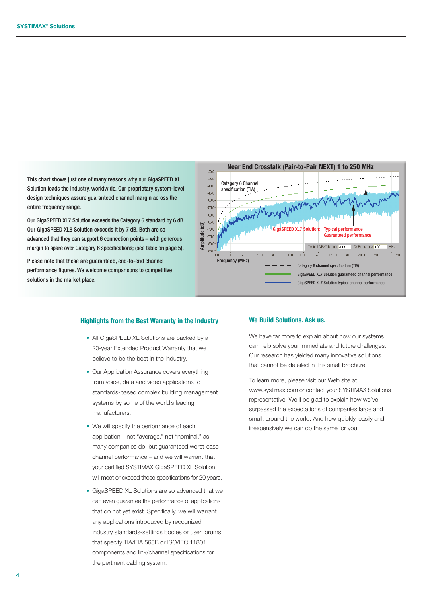This chart shows just one of many reasons why our GigaSPEED XL Solution leads the industry, worldwide. Our proprietary system-level design techniques assure guaranteed channel margin across the entire frequency range.

Our GigaSPEED XL7 Solution exceeds the Category 6 standard by 6 dB. Our GigaSPEED XL8 Solution exceeds it by 7 dB. Both are so advanced that they can support 6 connection points – with generous margin to spare over Category 6 specifications; (see table on page 5).

Please note that these are guaranteed, end-to-end channel performance figures. We welcome comparisons to competitive solutions in the market place.

#### **Highlights from the Best Warranty in the Industry**

- All GigaSPEED XL Solutions are backed by a 20-year Extended Product Warranty that we believe to be the best in the industry.
- Our Application Assurance covers everything from voice, data and video applications to standards-based complex building management systems by some of the world's leading manufacturers.
- We will specify the performance of each application – not "average," not "nominal," as many companies do, but guaranteed worst-case channel performance – and we will warrant that your certified SYSTIMAX GigaSPEED XL Solution will meet or exceed those specifications for 20 years.
- GigaSPEED XL Solutions are so advanced that we can even guarantee the performance of applications that do not yet exist. Specifically, we will warrant any applications introduced by recognized industry standards-settings bodies or user forums that specify TIA/EIA 568B or ISO/IEC 11801 components and link/channel specifications for the pertinent cabling system.



#### **We Build Solutions. Ask us.**

We have far more to explain about how our systems can help solve your immediate and future challenges. Our research has yielded many innovative solutions that cannot be detailed in this small brochure.

To learn more, please visit our Web site at www.systimax.com or contact your SYSTIMAX Solutions representative. We'll be glad to explain how we've surpassed the expectations of companies large and small, around the world. And how quickly, easily and inexpensively we can do the same for you.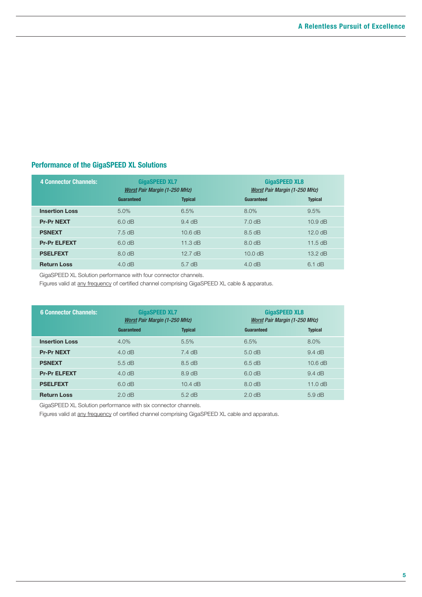### **Performance of the GigaSPEED XL Solutions**

| <b>4 Connector Channels:</b> | <b>GigaSPEED XL7</b><br><b>Worst Pair Margin (1-250 MHz)</b> |                   |                  | <b>GigaSPEED XL8</b><br><b>Worst Pair Margin (1-250 MHz)</b> |  |
|------------------------------|--------------------------------------------------------------|-------------------|------------------|--------------------------------------------------------------|--|
|                              | <b>Guaranteed</b>                                            | <b>Typical</b>    | Guaranteed       | <b>Typical</b>                                               |  |
| <b>Insertion Loss</b>        | 5.0%                                                         | 6.5%              | 8.0%             | 9.5%                                                         |  |
| <b>Pr-Pr NEXT</b>            | 6.0 dB                                                       | $9.4 \text{ dB}$  | 7.0 dB           | $10.9$ dB                                                    |  |
| <b>PSNEXT</b>                | $7.5 \text{ dB}$                                             | 10.6 dB           | $8.5 \text{ dB}$ | 12.0 dB                                                      |  |
| <b>Pr-Pr ELFEXT</b>          | 6.0 dB                                                       | 11.3 dB           | 8.0 dB           | $11.5$ dB                                                    |  |
| <b>PSELFEXT</b>              | 8.0 dB                                                       | $12.7 \text{ dB}$ | 10.0 dB          | $13.2 \text{ dB}$                                            |  |
| <b>Return Loss</b>           | 4.0 dB                                                       | $5.7 \text{ dB}$  | 4.0 dB           | $6.1$ dB                                                     |  |

GigaSPEED XL Solution performance with four connector channels.

Figures valid at any frequency of certified channel comprising GigaSPEED XL cable & apparatus.

| <b>6 Connector Channels:</b> | <b>GigaSPEED XL7</b><br><b>Worst Pair Margin (1-250 MHz)</b> |                  | <b>GigaSPEED XL8</b><br><b>Worst Pair Margin (1-250 MHz)</b> |                   |
|------------------------------|--------------------------------------------------------------|------------------|--------------------------------------------------------------|-------------------|
|                              | <b>Guaranteed</b>                                            | <b>Typical</b>   | <b>Guaranteed</b>                                            | <b>Typical</b>    |
| <b>Insertion Loss</b>        | 4.0%                                                         | 5.5%             | 6.5%                                                         | 8.0%              |
| <b>Pr-Pr NEXT</b>            | 4.0 dB                                                       | $7.4 \text{ dB}$ | 5.0 dB                                                       | $9.4 \text{ dB}$  |
| <b>PSNEXT</b>                | $5.5 \text{ dB}$                                             | $8.5 \text{ dB}$ | 6.5 dB                                                       | $10.6 \text{ dB}$ |
| <b>Pr-Pr ELFEXT</b>          | 4.0 dB                                                       | $8.9 \text{ dB}$ | 6.0 dB                                                       | $9.4 \text{ dB}$  |
| <b>PSELFEXT</b>              | 6.0 dB                                                       | $10.4$ dB        | 8.0 dB                                                       | 11.0 $dB$         |
| <b>Return Loss</b>           | 2.0 dB                                                       | $5.2$ dB         | 2.0 dB                                                       | 5.9 <sub>dB</sub> |

GigaSPEED XL Solution performance with six connector channels.

Figures valid at any frequency of certified channel comprising GigaSPEED XL cable and apparatus.